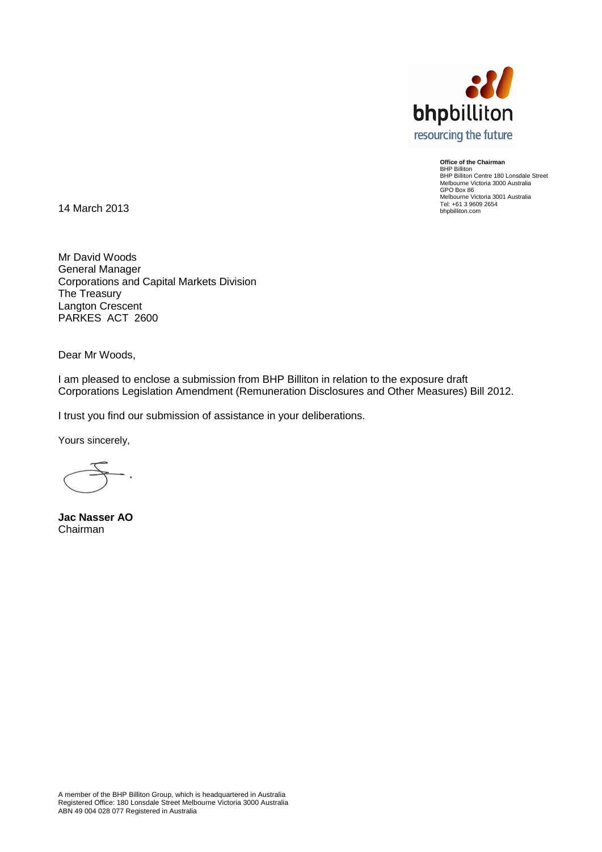

**Office of the Chairman** BHP Billiton BHP Billiton Centre 180 Lonsdale Street Melbourne Victoria 3000 Australia GPO Box 86 Melbourne Victoria 3001 Australia Tel: +61 3 9609 2654 bhpbilliton.com

14 March 2013

Mr David Woods General Manager Corporations and Capital Markets Division The Treasury Langton Crescent PARKES ACT 2600

Dear Mr Woods,

I am pleased to enclose a submission from BHP Billiton in relation to the exposure draft Corporations Legislation Amendment (Remuneration Disclosures and Other Measures) Bill 2012.

I trust you find our submission of assistance in your deliberations.

Yours sincerely,

<span id="page-0-0"></span>**Jac Nasser AO** Chairman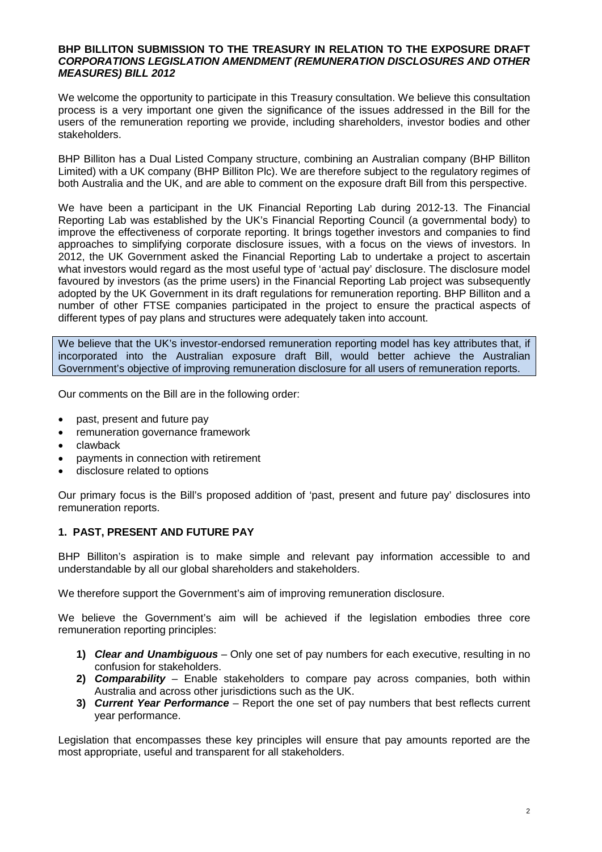#### **BHP BILLITON SUBMISSION TO THE TREASURY IN RELATION TO THE EXPOSURE DRAFT**  *CORPORATIONS LEGISLATION AMENDMENT (REMUNERATION DISCLOSURES AND OTHER MEASURES) BILL 2012*

We welcome the opportunity to participate in this Treasury consultation. We believe this consultation process is a very important one given the significance of the issues addressed in the Bill for the users of the remuneration reporting we provide, including shareholders, investor bodies and other stakeholders.

BHP Billiton has a Dual Listed Company structure, combining an Australian company (BHP Billiton Limited) with a UK company (BHP Billiton Plc). We are therefore subject to the regulatory regimes of both Australia and the UK, and are able to comment on the exposure draft Bill from this perspective.

We have been a participant in the UK Financial Reporting Lab during 2012-13. The Financial Reporting Lab was established by the UK's Financial Reporting Council (a governmental body) to improve the effectiveness of corporate reporting. It brings together investors and companies to find approaches to simplifying corporate disclosure issues, with a focus on the views of investors. In 2012, the UK Government asked the Financial Reporting Lab to undertake a project to ascertain what investors would regard as the most useful type of 'actual pay' disclosure. The disclosure model favoured by investors (as the prime users) in the Financial Reporting Lab project was subsequently adopted by the UK Government in its draft regulations for remuneration reporting. BHP Billiton and a number of other FTSE companies participated in the project to ensure the practical aspects of different types of pay plans and structures were adequately taken into account.

We believe that the UK's investor-endorsed remuneration reporting model has key attributes that, if incorporated into the Australian exposure draft Bill, would better achieve the Australian Government's objective of improving remuneration disclosure for all users of remuneration reports.

Our comments on the Bill are in the following order:

- past, present and future pay
- remuneration governance framework
- clawback
- payments in connection with retirement
- disclosure related to options

Our primary focus is the Bill's proposed addition of 'past, present and future pay' disclosures into remuneration reports.

## **1. PAST, PRESENT AND FUTURE PAY**

BHP Billiton's aspiration is to make simple and relevant pay information accessible to and understandable by all our global shareholders and stakeholders.

We therefore support the Government's aim of improving remuneration disclosure.

We believe the Government's aim will be achieved if the legislation embodies three core remuneration reporting principles:

- **1)** *Clear and Unambiguous* Only one set of pay numbers for each executive, resulting in no confusion for stakeholders.
- **2)** *Comparability* Enable stakeholders to compare pay across companies, both within Australia and across other jurisdictions such as the UK.
- **3)** *Current Year Performance* Report the one set of pay numbers that best reflects current year performance.

Legislation that encompasses these key principles will ensure that pay amounts reported are the most appropriate, useful and transparent for all stakeholders.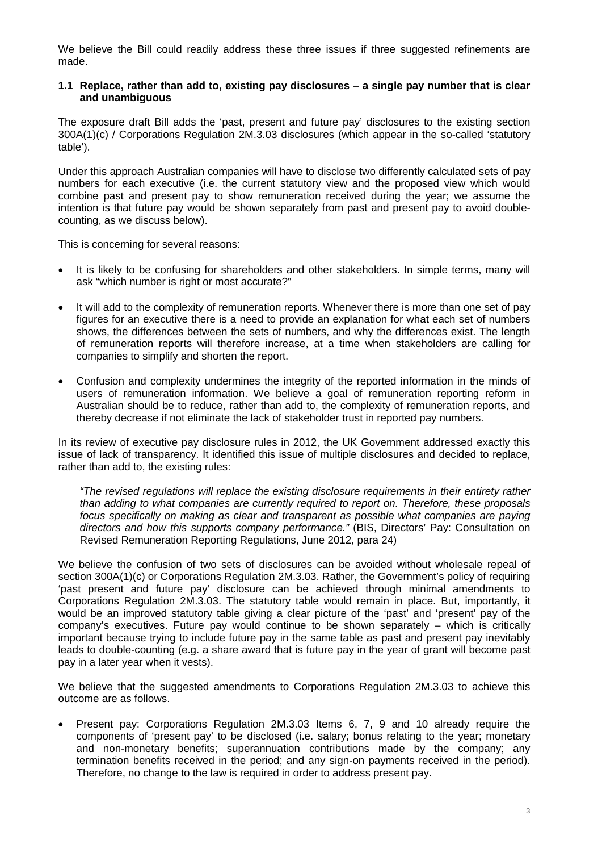We believe the Bill could readily address these three issues if three suggested refinements are made.

#### **1.1 Replace, rather than add to, existing pay disclosures – a single pay number that is clear and unambiguous**

The exposure draft Bill adds the 'past, present and future pay' disclosures to the existing section 300A(1)(c) / Corporations Regulation 2M.3.03 disclosures (which appear in the so-called 'statutory table').

Under this approach Australian companies will have to disclose two differently calculated sets of pay numbers for each executive (i.e. the current statutory view and the proposed view which would combine past and present pay to show remuneration received during the year; we assume the intention is that future pay would be shown separately from past and present pay to avoid doublecounting, as we discuss below).

This is concerning for several reasons:

- It is likely to be confusing for shareholders and other stakeholders. In simple terms, many will ask "which number is right or most accurate?"
- It will add to the complexity of remuneration reports. Whenever there is more than one set of pay figures for an executive there is a need to provide an explanation for what each set of numbers shows, the differences between the sets of numbers, and why the differences exist. The length of remuneration reports will therefore increase, at a time when stakeholders are calling for companies to simplify and shorten the report.
- Confusion and complexity undermines the integrity of the reported information in the minds of users of remuneration information. We believe a goal of remuneration reporting reform in Australian should be to reduce, rather than add to, the complexity of remuneration reports, and thereby decrease if not eliminate the lack of stakeholder trust in reported pay numbers.

In its review of executive pay disclosure rules in 2012, the UK Government addressed exactly this issue of lack of transparency. It identified this issue of multiple disclosures and decided to replace, rather than add to, the existing rules:

*"The revised regulations will replace the existing disclosure requirements in their entirety rather than adding to what companies are currently required to report on. Therefore, these proposals*  focus specifically on making as clear and transparent as possible what companies are paying *directors and how this supports company performance."* (BIS, Directors' Pay: Consultation on Revised Remuneration Reporting Regulations, June 2012, para 24)

We believe the confusion of two sets of disclosures can be avoided without wholesale repeal of section 300A(1)(c) or Corporations Regulation 2M.3.03. Rather, the Government's policy of requiring 'past present and future pay' disclosure can be achieved through minimal amendments to Corporations Regulation 2M.3.03. The statutory table would remain in place. But, importantly, it would be an improved statutory table giving a clear picture of the 'past' and 'present' pay of the company's executives. Future pay would continue to be shown separately – which is critically important because trying to include future pay in the same table as past and present pay inevitably leads to double-counting (e.g. a share award that is future pay in the year of grant will become past pay in a later year when it vests).

We believe that the suggested amendments to Corporations Regulation 2M.3.03 to achieve this outcome are as follows.

• Present pay: Corporations Regulation 2M.3.03 Items 6, 7, 9 and 10 already require the components of 'present pay' to be disclosed (i.e. salary; bonus relating to the year; monetary and non-monetary benefits; superannuation contributions made by the company; any termination benefits received in the period; and any sign-on payments received in the period). Therefore, no change to the law is required in order to address present pay.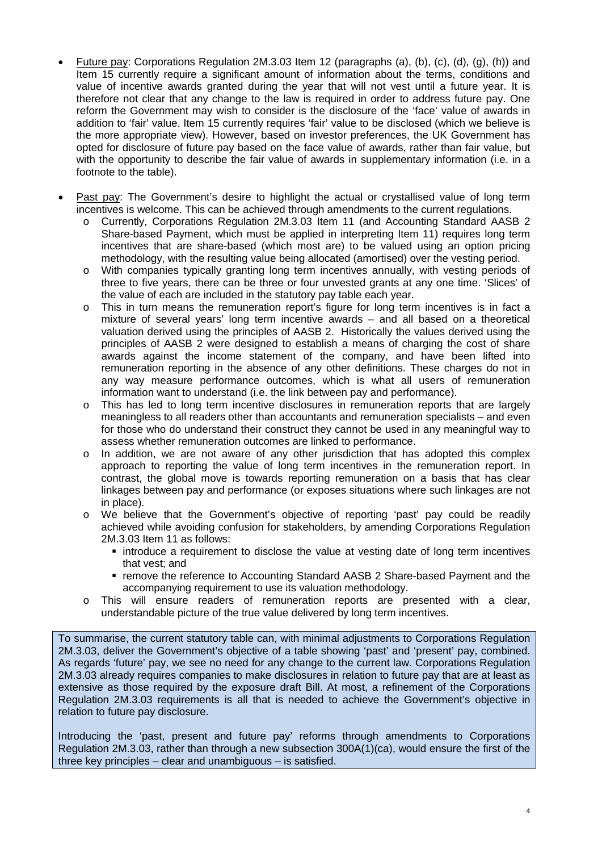- Future pay: Corporations Regulation 2M.3.03 Item 12 (paragraphs (a), (b), (c), (d), (g), (h)) and Item 15 currently require a significant amount of information about the terms, conditions and value of incentive awards granted during the year that will not vest until a future year. It is therefore not clear that any change to the law is required in order to address future pay. One reform the Government may wish to consider is the disclosure of the 'face' value of awards in addition to 'fair' value. Item 15 currently requires 'fair' value to be disclosed (which we believe is the more appropriate view). However, based on investor preferences, the UK Government has opted for disclosure of future pay based on the face value of awards, rather than fair value, but with the opportunity to describe the fair value of awards in supplementary information (i.e. in a footnote to the table).
- Past pay: The Government's desire to highlight the actual or crystallised value of long term incentives is welcome. This can be achieved through amendments to the current regulations.
	- o Currently, Corporations Regulation 2M.3.03 Item 11 (and Accounting Standard AASB 2 Share-based Payment, which must be applied in interpreting Item 11) requires long term incentives that are share-based (which most are) to be valued using an option pricing methodology, with the resulting value being allocated (amortised) over the vesting period.
	- o With companies typically granting long term incentives annually, with vesting periods of three to five years, there can be three or four unvested grants at any one time. 'Slices' of the value of each are included in the statutory pay table each year.
	- o This in turn means the remuneration report's figure for long term incentives is in fact a mixture of several years' long term incentive awards – and all based on a theoretical valuation derived using the principles of AASB 2. Historically the values derived using the principles of AASB 2 were designed to establish a means of charging the cost of share awards against the income statement of the company, and have been lifted into remuneration reporting in the absence of any other definitions. These charges do not in any way measure performance outcomes, which is what all users of remuneration information want to understand (i.e. the link between pay and performance).
	- o This has led to long term incentive disclosures in remuneration reports that are largely meaningless to all readers other than accountants and remuneration specialists – and even for those who do understand their construct they cannot be used in any meaningful way to assess whether remuneration outcomes are linked to performance.
	- In addition, we are not aware of any other jurisdiction that has adopted this complex approach to reporting the value of long term incentives in the remuneration report. In contrast, the global move is towards reporting remuneration on a basis that has clear linkages between pay and performance (or exposes situations where such linkages are not in place).
	- o We believe that the Government's objective of reporting 'past' pay could be readily achieved while avoiding confusion for stakeholders, by amending Corporations Regulation 2M.3.03 Item 11 as follows:
		- **introduce a requirement to disclose the value at vesting date of long term incentives** that vest; and
		- remove the reference to Accounting Standard AASB 2 Share-based Payment and the accompanying requirement to use its valuation methodology.
	- o This will ensure readers of remuneration reports are presented with a clear, understandable picture of the true value delivered by long term incentives.

To summarise, the current statutory table can, with minimal adjustments to Corporations Regulation 2M.3.03, deliver the Government's objective of a table showing 'past' and 'present' pay, combined. As regards 'future' pay, we see no need for any change to the current law. Corporations Regulation 2M.3.03 already requires companies to make disclosures in relation to future pay that are at least as extensive as those required by the exposure draft Bill. At most, a refinement of the Corporations Regulation 2M.3.03 requirements is all that is needed to achieve the Government's objective in relation to future pay disclosure.

Introducing the 'past, present and future pay' reforms through amendments to Corporations Regulation 2M.3.03, rather than through a new subsection 300A(1)(ca), would ensure the first of the three key principles – clear and unambiguous – is satisfied.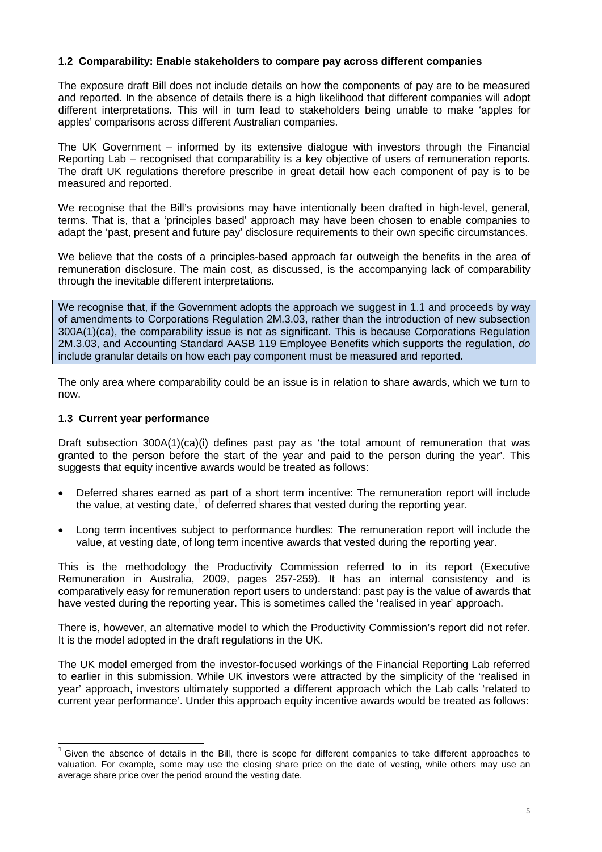## **1.2 Comparability: Enable stakeholders to compare pay across different companies**

The exposure draft Bill does not include details on how the components of pay are to be measured and reported. In the absence of details there is a high likelihood that different companies will adopt different interpretations. This will in turn lead to stakeholders being unable to make 'apples for apples' comparisons across different Australian companies.

The UK Government – informed by its extensive dialogue with investors through the Financial Reporting Lab – recognised that comparability is a key objective of users of remuneration reports. The draft UK regulations therefore prescribe in great detail how each component of pay is to be measured and reported.

We recognise that the Bill's provisions may have intentionally been drafted in high-level, general, terms. That is, that a 'principles based' approach may have been chosen to enable companies to adapt the 'past, present and future pay' disclosure requirements to their own specific circumstances.

We believe that the costs of a principles-based approach far outweigh the benefits in the area of remuneration disclosure. The main cost, as discussed, is the accompanying lack of comparability through the inevitable different interpretations.

We recognise that, if the Government adopts the approach we suggest in 1.1 and proceeds by way of amendments to Corporations Regulation 2M.3.03, rather than the introduction of new subsection 300A(1)(ca), the comparability issue is not as significant. This is because Corporations Regulation 2M.3.03, and Accounting Standard AASB 119 Employee Benefits which supports the regulation, *do* include granular details on how each pay component must be measured and reported.

The only area where comparability could be an issue is in relation to share awards, which we turn to now.

## **1.3 Current year performance**

Draft subsection 300A(1)(ca)(i) defines past pay as 'the total amount of remuneration that was granted to the person before the start of the year and paid to the person during the year'. This suggests that equity incentive awards would be treated as follows:

- Deferred shares earned as part of a short term incentive: The remuneration report will include the value, at vesting date, $1$  of deferred shares that vested during the reporting year.
- Long term incentives subject to performance hurdles: The remuneration report will include the value, at vesting date, of long term incentive awards that vested during the reporting year.

This is the methodology the Productivity Commission referred to in its report (Executive Remuneration in Australia, 2009, pages 257-259). It has an internal consistency and is comparatively easy for remuneration report users to understand: past pay is the value of awards that have vested during the reporting year. This is sometimes called the 'realised in year' approach.

There is, however, an alternative model to which the Productivity Commission's report did not refer. It is the model adopted in the draft regulations in the UK.

The UK model emerged from the investor-focused workings of the Financial Reporting Lab referred to earlier in this submission. While UK investors were attracted by the simplicity of the 'realised in year' approach, investors ultimately supported a different approach which the Lab calls 'related to current year performance'. Under this approach equity incentive awards would be treated as follows:

 $1$  Given the absence of details in the Bill, there is scope for different companies to take different approaches to valuation. For example, some may use the closing share price on the date of vesting, while others may use an average share price over the period around the vesting date.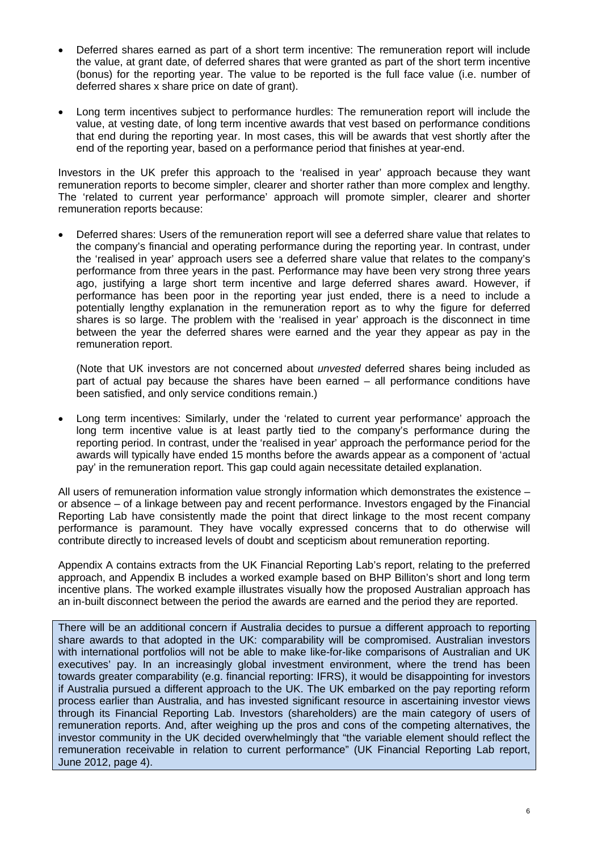- Deferred shares earned as part of a short term incentive: The remuneration report will include the value, at grant date, of deferred shares that were granted as part of the short term incentive (bonus) for the reporting year. The value to be reported is the full face value (i.e. number of deferred shares x share price on date of grant).
- Long term incentives subject to performance hurdles: The remuneration report will include the value, at vesting date, of long term incentive awards that vest based on performance conditions that end during the reporting year. In most cases, this will be awards that vest shortly after the end of the reporting year, based on a performance period that finishes at year-end.

Investors in the UK prefer this approach to the 'realised in year' approach because they want remuneration reports to become simpler, clearer and shorter rather than more complex and lengthy. The 'related to current year performance' approach will promote simpler, clearer and shorter remuneration reports because:

• Deferred shares: Users of the remuneration report will see a deferred share value that relates to the company's financial and operating performance during the reporting year. In contrast, under the 'realised in year' approach users see a deferred share value that relates to the company's performance from three years in the past. Performance may have been very strong three years ago, justifying a large short term incentive and large deferred shares award. However, if performance has been poor in the reporting year just ended, there is a need to include a potentially lengthy explanation in the remuneration report as to why the figure for deferred shares is so large. The problem with the 'realised in year' approach is the disconnect in time between the year the deferred shares were earned and the year they appear as pay in the remuneration report.

(Note that UK investors are not concerned about *unvested* deferred shares being included as part of actual pay because the shares have been earned – all performance conditions have been satisfied, and only service conditions remain.)

• Long term incentives: Similarly, under the 'related to current year performance' approach the long term incentive value is at least partly tied to the company's performance during the reporting period. In contrast, under the 'realised in year' approach the performance period for the awards will typically have ended 15 months before the awards appear as a component of 'actual pay' in the remuneration report. This gap could again necessitate detailed explanation.

All users of remuneration information value strongly information which demonstrates the existence – or absence – of a linkage between pay and recent performance. Investors engaged by the Financial Reporting Lab have consistently made the point that direct linkage to the most recent company performance is paramount. They have vocally expressed concerns that to do otherwise will contribute directly to increased levels of doubt and scepticism about remuneration reporting.

Appendix A contains extracts from the UK Financial Reporting Lab's report, relating to the preferred approach, and Appendix B includes a worked example based on BHP Billiton's short and long term incentive plans. The worked example illustrates visually how the proposed Australian approach has an in-built disconnect between the period the awards are earned and the period they are reported.

There will be an additional concern if Australia decides to pursue a different approach to reporting share awards to that adopted in the UK: comparability will be compromised. Australian investors with international portfolios will not be able to make like-for-like comparisons of Australian and UK executives' pay. In an increasingly global investment environment, where the trend has been towards greater comparability (e.g. financial reporting: IFRS), it would be disappointing for investors if Australia pursued a different approach to the UK. The UK embarked on the pay reporting reform process earlier than Australia, and has invested significant resource in ascertaining investor views through its Financial Reporting Lab. Investors (shareholders) are the main category of users of remuneration reports. And, after weighing up the pros and cons of the competing alternatives, the investor community in the UK decided overwhelmingly that "the variable element should reflect the remuneration receivable in relation to current performance" (UK Financial Reporting Lab report, June 2012, page 4).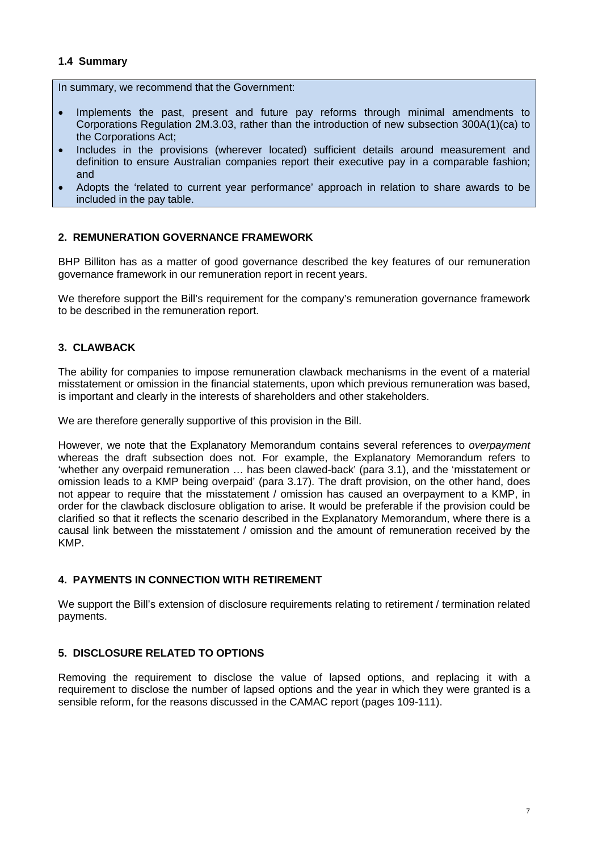## **1.4 Summary**

In summary, we recommend that the Government:

- Implements the past, present and future pay reforms through minimal amendments to Corporations Regulation 2M.3.03, rather than the introduction of new subsection 300A(1)(ca) to the Corporations Act;
- Includes in the provisions (wherever located) sufficient details around measurement and definition to ensure Australian companies report their executive pay in a comparable fashion; and
- Adopts the 'related to current year performance' approach in relation to share awards to be included in the pay table.

## **2. REMUNERATION GOVERNANCE FRAMEWORK**

BHP Billiton has as a matter of good governance described the key features of our remuneration governance framework in our remuneration report in recent years.

We therefore support the Bill's requirement for the company's remuneration governance framework to be described in the remuneration report.

# **3. CLAWBACK**

The ability for companies to impose remuneration clawback mechanisms in the event of a material misstatement or omission in the financial statements, upon which previous remuneration was based, is important and clearly in the interests of shareholders and other stakeholders.

We are therefore generally supportive of this provision in the Bill.

However, we note that the Explanatory Memorandum contains several references to *overpayment* whereas the draft subsection does not. For example, the Explanatory Memorandum refers to 'whether any overpaid remuneration … has been clawed-back' (para 3.1), and the 'misstatement or omission leads to a KMP being overpaid' (para 3.17). The draft provision, on the other hand, does not appear to require that the misstatement / omission has caused an overpayment to a KMP, in order for the clawback disclosure obligation to arise. It would be preferable if the provision could be clarified so that it reflects the scenario described in the Explanatory Memorandum, where there is a causal link between the misstatement / omission and the amount of remuneration received by the KMP.

## **4. PAYMENTS IN CONNECTION WITH RETIREMENT**

We support the Bill's extension of disclosure requirements relating to retirement / termination related payments.

## **5. DISCLOSURE RELATED TO OPTIONS**

Removing the requirement to disclose the value of lapsed options, and replacing it with a requirement to disclose the number of lapsed options and the year in which they were granted is a sensible reform, for the reasons discussed in the CAMAC report (pages 109-111).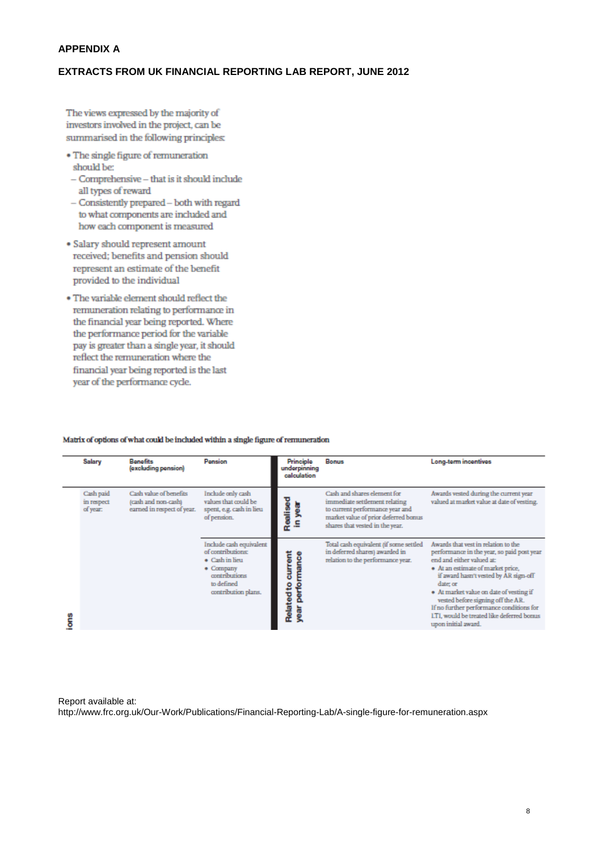#### **APPENDIX A**

## **EXTRACTS FROM UK FINANCIAL REPORTING LAB REPORT, JUNE 2012**

The views expressed by the majority of investors involved in the project, can be summarised in the following principles:

- The single figure of remuneration should be:
- $-$  Comprehensive  $-$  that is it should include all types of reward
- Consistently prepared both with regard to what components are included and how each component is measured
- · Salary should represent amount received; benefits and pension should represent an estimate of the benefit provided to the individual
- The variable element should reflect the remuneration relating to performance in the financial year being reported. Where the performance period for the variable pay is greater than a single year, it should reflect the remuneration where the financial year being reported is the last year of the performance cycle.

| <b>Salary</b>                       | <b>Benefits</b><br>(excluding pension)                                      | Pension                                                                                                                           | Principle<br>underpinning<br>calculation              | Bonus                                                                                                                                                                      | Long-term incentives                                                                                                                                                                                                                                                                                                                                                                                       |
|-------------------------------------|-----------------------------------------------------------------------------|-----------------------------------------------------------------------------------------------------------------------------------|-------------------------------------------------------|----------------------------------------------------------------------------------------------------------------------------------------------------------------------------|------------------------------------------------------------------------------------------------------------------------------------------------------------------------------------------------------------------------------------------------------------------------------------------------------------------------------------------------------------------------------------------------------------|
| Cash paid<br>in respect<br>of year: | Cash value of benefits<br>(cash and non-cash)<br>earned in respect of year. | Include only cash<br>values that could be<br>spent, e.g. cash in lieu<br>of pension.                                              |                                                       | Cash and shares element for<br>immediate settlement relating<br>to current performance year and<br>market value of prior deferred bonus<br>shares that vested in the year. | Awards vested during the current year<br>valued at market value at date of vesting.                                                                                                                                                                                                                                                                                                                        |
|                                     |                                                                             | Include cash equivalent<br>of contributions:<br>· Cash in lieu<br>• Company<br>contributions<br>to defined<br>contribution plans. | current<br>mance<br><b>Related to</b><br>perfo<br>ear | Total cash equivalent (if some settled<br>in deferred shares) awarded in<br>relation to the performance year.                                                              | Awards that yest in relation to the<br>performance in the year, so paid post year<br>end and either valued at:<br>• At an estimate of market price,<br>if award hasn't vested by AR sign-off<br>date: or<br>· At market value on date of vesting if<br>vested before signing off the AR.<br>If no further performance conditions for<br>I.TI, would be treated like deferred bornis<br>upon initial award. |

#### Matrix of options of what could be included within a single figure of remuneration

#### Report available at:

http://www.frc.org.uk/Our-Work/Publications/Financial-Reporting-Lab/A-single-figure-for-remuneration.aspx